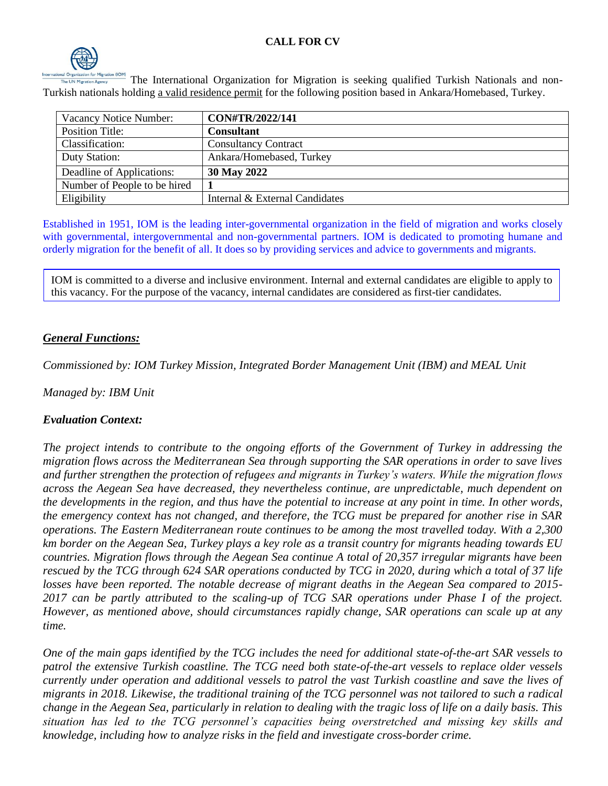

The International Organization for Migration is seeking qualified Turkish Nationals and non-Turkish nationals holding a valid residence permit for the following position based in Ankara/Homebased, Turkey.

| Vacancy Notice Number:       | CON#TR/2022/141                |
|------------------------------|--------------------------------|
| <b>Position Title:</b>       | <b>Consultant</b>              |
| Classification:              | <b>Consultancy Contract</b>    |
| Duty Station:                | Ankara/Homebased, Turkey       |
| Deadline of Applications:    | 30 May 2022                    |
| Number of People to be hired |                                |
| Eligibility                  | Internal & External Candidates |

Established in 1951, IOM is the leading inter-governmental organization in the field of migration and works closely with governmental, intergovernmental and non-governmental partners. IOM is dedicated to promoting humane and orderly migration for the benefit of all. It does so by providing services and advice to governments and migrants.

IOM is committed to a diverse and inclusive environment. Internal and external candidates are eligible to apply to this vacancy. For the purpose of the vacancy, internal candidates are considered as first-tier candidates.

## *General Functions:*

*Commissioned by: IOM Turkey Mission, Integrated Border Management Unit (IBM) and MEAL Unit*

*Managed by: IBM Unit*

## *Evaluation Context:*

*The project intends to contribute to the ongoing efforts of the Government of Turkey in addressing the migration flows across the Mediterranean Sea through supporting the SAR operations in order to save lives and further strengthen the protection of refugees and migrants in Turkey's waters. While the migration flows across the Aegean Sea have decreased, they nevertheless continue, are unpredictable, much dependent on the developments in the region, and thus have the potential to increase at any point in time. In other words, the emergency context has not changed, and therefore, the TCG must be prepared for another rise in SAR operations. The Eastern Mediterranean route continues to be among the most travelled today. With a 2,300 km border on the Aegean Sea, Turkey plays a key role as a transit country for migrants heading towards EU countries. Migration flows through the Aegean Sea continue A total of 20,357 irregular migrants have been rescued by the TCG through 624 SAR operations conducted by TCG in 2020, during which a total of 37 life losses have been reported. The notable decrease of migrant deaths in the Aegean Sea compared to 2015- 2017 can be partly attributed to the scaling-up of TCG SAR operations under Phase I of the project. However, as mentioned above, should circumstances rapidly change, SAR operations can scale up at any time.* 

*One of the main gaps identified by the TCG includes the need for additional state-of-the-art SAR vessels to patrol the extensive Turkish coastline. The TCG need both state-of-the-art vessels to replace older vessels currently under operation and additional vessels to patrol the vast Turkish coastline and save the lives of migrants in 2018. Likewise, the traditional training of the TCG personnel was not tailored to such a radical change in the Aegean Sea, particularly in relation to dealing with the tragic loss of life on a daily basis. This situation has led to the TCG personnel's capacities being overstretched and missing key skills and knowledge, including how to analyze risks in the field and investigate cross-border crime.*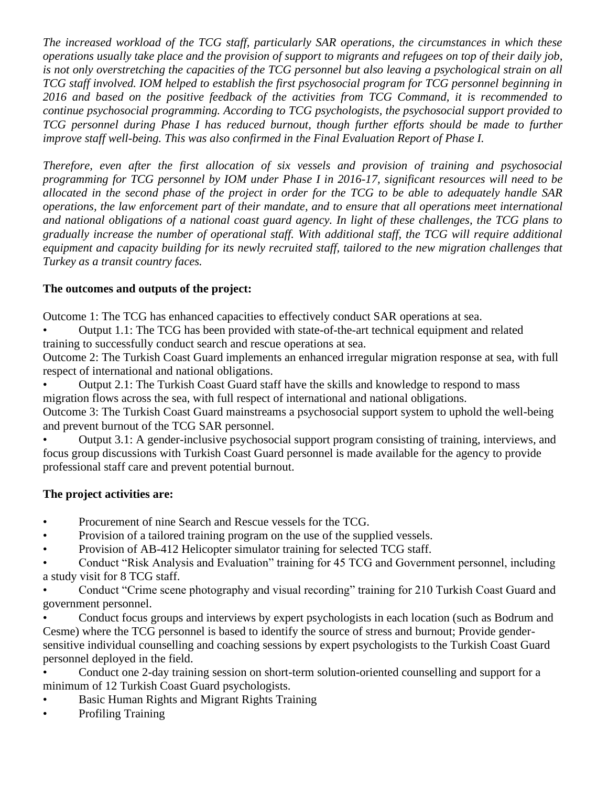*The increased workload of the TCG staff, particularly SAR operations, the circumstances in which these operations usually take place and the provision of support to migrants and refugees on top of their daily job, is not only overstretching the capacities of the TCG personnel but also leaving a psychological strain on all TCG staff involved. IOM helped to establish the first psychosocial program for TCG personnel beginning in 2016 and based on the positive feedback of the activities from TCG Command, it is recommended to continue psychosocial programming. According to TCG psychologists, the psychosocial support provided to TCG personnel during Phase I has reduced burnout, though further efforts should be made to further improve staff well-being. This was also confirmed in the Final Evaluation Report of Phase I.*

*Therefore, even after the first allocation of six vessels and provision of training and psychosocial programming for TCG personnel by IOM under Phase I in 2016-17, significant resources will need to be allocated in the second phase of the project in order for the TCG to be able to adequately handle SAR operations, the law enforcement part of their mandate, and to ensure that all operations meet international and national obligations of a national coast guard agency. In light of these challenges, the TCG plans to gradually increase the number of operational staff. With additional staff, the TCG will require additional equipment and capacity building for its newly recruited staff, tailored to the new migration challenges that Turkey as a transit country faces.*

## **The outcomes and outputs of the project:**

Outcome 1: The TCG has enhanced capacities to effectively conduct SAR operations at sea.

• Output 1.1: The TCG has been provided with state-of-the-art technical equipment and related training to successfully conduct search and rescue operations at sea.

Outcome 2: The Turkish Coast Guard implements an enhanced irregular migration response at sea, with full respect of international and national obligations.

• Output 2.1: The Turkish Coast Guard staff have the skills and knowledge to respond to mass migration flows across the sea, with full respect of international and national obligations.

Outcome 3: The Turkish Coast Guard mainstreams a psychosocial support system to uphold the well-being and prevent burnout of the TCG SAR personnel.

• Output 3.1: A gender-inclusive psychosocial support program consisting of training, interviews, and focus group discussions with Turkish Coast Guard personnel is made available for the agency to provide professional staff care and prevent potential burnout.

## **The project activities are:**

- Procurement of nine Search and Rescue vessels for the TCG.
- Provision of a tailored training program on the use of the supplied vessels.
- Provision of AB-412 Helicopter simulator training for selected TCG staff.

• Conduct "Risk Analysis and Evaluation" training for 45 TCG and Government personnel, including a study visit for 8 TCG staff.

• Conduct "Crime scene photography and visual recording" training for 210 Turkish Coast Guard and government personnel.

• Conduct focus groups and interviews by expert psychologists in each location (such as Bodrum and Cesme) where the TCG personnel is based to identify the source of stress and burnout; Provide gendersensitive individual counselling and coaching sessions by expert psychologists to the Turkish Coast Guard

personnel deployed in the field. • Conduct one 2-day training session on short-term solution-oriented counselling and support for a

- minimum of 12 Turkish Coast Guard psychologists.
- Basic Human Rights and Migrant Rights Training
- Profiling Training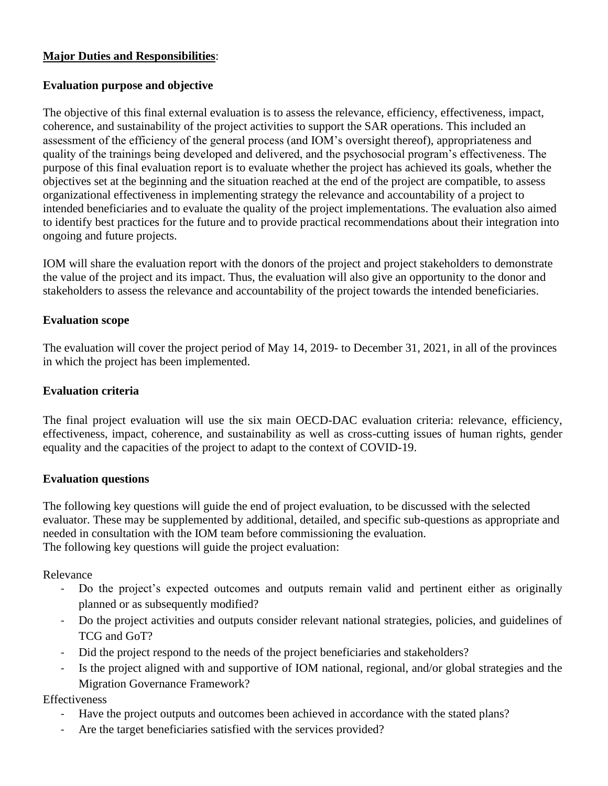## **Major Duties and Responsibilities**:

## **Evaluation purpose and objective**

The objective of this final external evaluation is to assess the relevance, efficiency, effectiveness, impact, coherence, and sustainability of the project activities to support the SAR operations. This included an assessment of the efficiency of the general process (and IOM's oversight thereof), appropriateness and quality of the trainings being developed and delivered, and the psychosocial program's effectiveness. The purpose of this final evaluation report is to evaluate whether the project has achieved its goals, whether the objectives set at the beginning and the situation reached at the end of the project are compatible, to assess organizational effectiveness in implementing strategy the relevance and accountability of a project to intended beneficiaries and to evaluate the quality of the project implementations. The evaluation also aimed to identify best practices for the future and to provide practical recommendations about their integration into ongoing and future projects.

IOM will share the evaluation report with the donors of the project and project stakeholders to demonstrate the value of the project and its impact. Thus, the evaluation will also give an opportunity to the donor and stakeholders to assess the relevance and accountability of the project towards the intended beneficiaries.

#### **Evaluation scope**

The evaluation will cover the project period of May 14, 2019- to December 31, 2021, in all of the provinces in which the project has been implemented.

#### **Evaluation criteria**

The final project evaluation will use the six main OECD-DAC evaluation criteria: relevance, efficiency, effectiveness, impact, coherence, and sustainability as well as cross-cutting issues of human rights, gender equality and the capacities of the project to adapt to the context of COVID-19.

#### **Evaluation questions**

The following key questions will guide the end of project evaluation, to be discussed with the selected evaluator. These may be supplemented by additional, detailed, and specific sub-questions as appropriate and needed in consultation with the IOM team before commissioning the evaluation. The following key questions will guide the project evaluation:

Relevance

- Do the project's expected outcomes and outputs remain valid and pertinent either as originally planned or as subsequently modified?
- Do the project activities and outputs consider relevant national strategies, policies, and guidelines of TCG and GoT?
- Did the project respond to the needs of the project beneficiaries and stakeholders?
- Is the project aligned with and supportive of IOM national, regional, and/or global strategies and the Migration Governance Framework?

Effectiveness

- Have the project outputs and outcomes been achieved in accordance with the stated plans?
- Are the target beneficiaries satisfied with the services provided?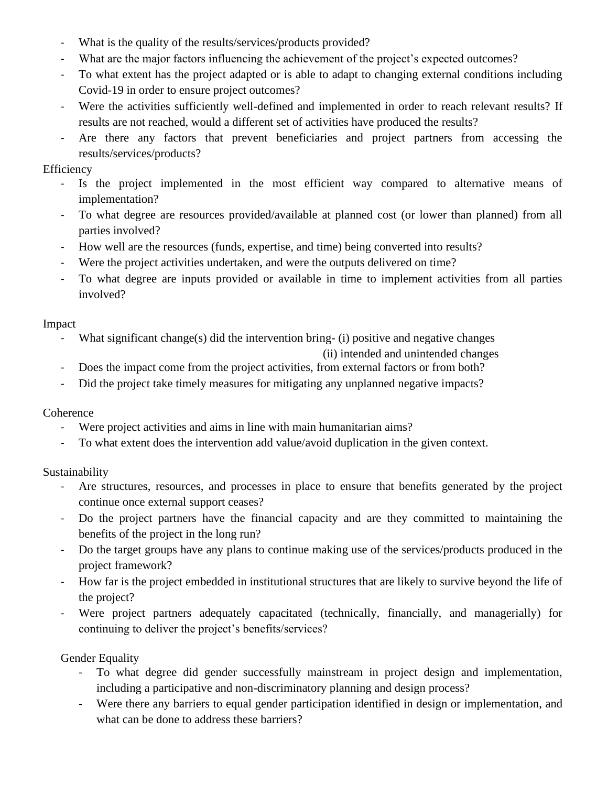- What is the quality of the results/services/products provided?
- What are the major factors influencing the achievement of the project's expected outcomes?
- To what extent has the project adapted or is able to adapt to changing external conditions including Covid-19 in order to ensure project outcomes?
- Were the activities sufficiently well-defined and implemented in order to reach relevant results? If results are not reached, would a different set of activities have produced the results?
- Are there any factors that prevent beneficiaries and project partners from accessing the results/services/products?

# **Efficiency**

- Is the project implemented in the most efficient way compared to alternative means of implementation?
- To what degree are resources provided/available at planned cost (or lower than planned) from all parties involved?
- How well are the resources (funds, expertise, and time) being converted into results?
- Were the project activities undertaken, and were the outputs delivered on time?
- To what degree are inputs provided or available in time to implement activities from all parties involved?

## Impact

What significant change(s) did the intervention bring- (i) positive and negative changes

(ii) intended and unintended changes

- Does the impact come from the project activities, from external factors or from both?
- Did the project take timely measures for mitigating any unplanned negative impacts?

## **Coherence**

- Were project activities and aims in line with main humanitarian aims?
- To what extent does the intervention add value/avoid duplication in the given context.

# Sustainability

- Are structures, resources, and processes in place to ensure that benefits generated by the project continue once external support ceases?
- Do the project partners have the financial capacity and are they committed to maintaining the benefits of the project in the long run?
- Do the target groups have any plans to continue making use of the services/products produced in the project framework?
- How far is the project embedded in institutional structures that are likely to survive beyond the life of the project?
- Were project partners adequately capacitated (technically, financially, and managerially) for continuing to deliver the project's benefits/services?

Gender Equality

- To what degree did gender successfully mainstream in project design and implementation, including a participative and non-discriminatory planning and design process?
- Were there any barriers to equal gender participation identified in design or implementation, and what can be done to address these barriers?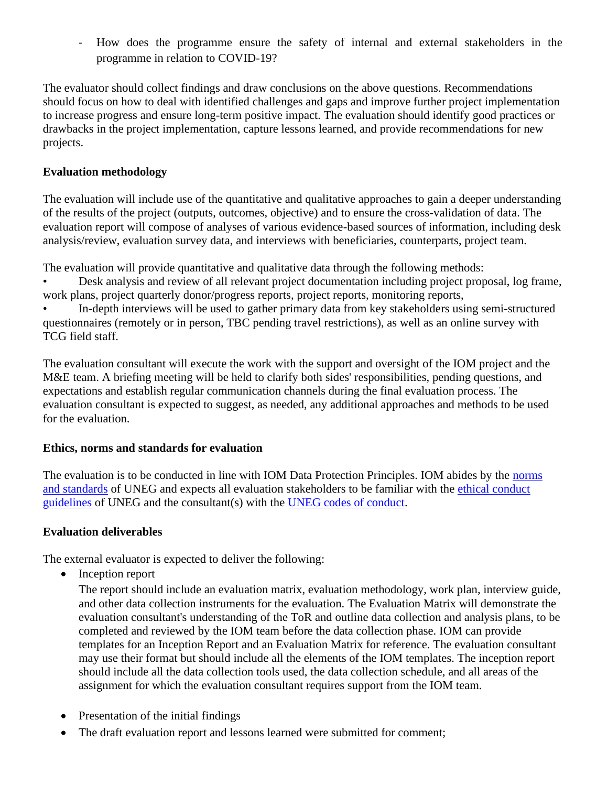- How does the programme ensure the safety of internal and external stakeholders in the programme in relation to COVID-19?

The evaluator should collect findings and draw conclusions on the above questions. Recommendations should focus on how to deal with identified challenges and gaps and improve further project implementation to increase progress and ensure long-term positive impact. The evaluation should identify good practices or drawbacks in the project implementation, capture lessons learned, and provide recommendations for new projects.

# **Evaluation methodology**

The evaluation will include use of the quantitative and qualitative approaches to gain a deeper understanding of the results of the project (outputs, outcomes, objective) and to ensure the cross-validation of data. The evaluation report will compose of analyses of various evidence-based sources of information, including desk analysis/review, evaluation survey data, and interviews with beneficiaries, counterparts, project team.

The evaluation will provide quantitative and qualitative data through the following methods:

• Desk analysis and review of all relevant project documentation including project proposal, log frame, work plans, project quarterly donor/progress reports, project reports, monitoring reports,

• In-depth interviews will be used to gather primary data from key stakeholders using semi-structured questionnaires (remotely or in person, TBC pending travel restrictions), as well as an online survey with TCG field staff.

The evaluation consultant will execute the work with the support and oversight of the IOM project and the M&E team. A briefing meeting will be held to clarify both sides' responsibilities, pending questions, and expectations and establish regular communication channels during the final evaluation process. The evaluation consultant is expected to suggest, as needed, any additional approaches and methods to be used for the evaluation.

## **Ethics, norms and standards for evaluation**

The evaluation is to be conducted in line with IOM Data Protection Principles. IOM abides by the [norms](https://www.iom.int/sites/default/files/about-iom/evaluation/UNEG-Norms-Standards-for-Evaluation-2016.pdf)  [and standards](https://www.iom.int/sites/default/files/about-iom/evaluation/UNEG-Norms-Standards-for-Evaluation-2016.pdf) of UNEG and expects all evaluation stakeholders to be familiar with the [ethical conduct](https://evaluation.iom.int/sites/evaluation/files/documents/2020%20Ethical%20Guidelines%20for%20Evaluation.pdf)  [guidelines](https://evaluation.iom.int/sites/evaluation/files/documents/2020%20Ethical%20Guidelines%20for%20Evaluation.pdf) of UNEG and the consultant(s) with the [UNEG codes of conduct.](https://www.iom.int/sites/default/files/about-iom/evaluation/UNEG-Code-of-Conduct-2008.pdf)

## **Evaluation deliverables**

The external evaluator is expected to deliver the following:

• Inception report

The report should include an evaluation matrix, evaluation methodology, work plan, interview guide, and other data collection instruments for the evaluation. The Evaluation Matrix will demonstrate the evaluation consultant's understanding of the ToR and outline data collection and analysis plans, to be completed and reviewed by the IOM team before the data collection phase. IOM can provide templates for an Inception Report and an Evaluation Matrix for reference. The evaluation consultant may use their format but should include all the elements of the IOM templates. The inception report should include all the data collection tools used, the data collection schedule, and all areas of the assignment for which the evaluation consultant requires support from the IOM team.

- Presentation of the initial findings
- The draft evaluation report and lessons learned were submitted for comment;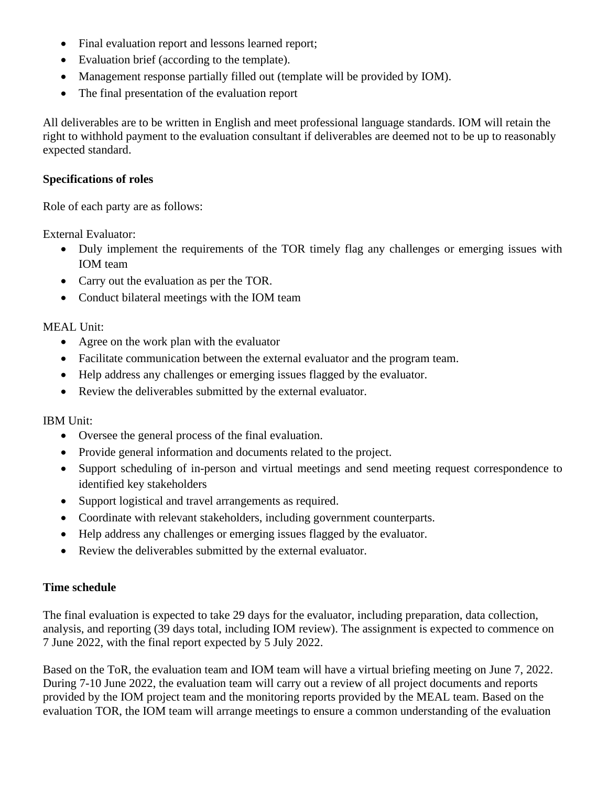- Final evaluation report and lessons learned report;
- Evaluation brief (according to the template).
- Management response partially filled out (template will be provided by IOM).
- The final presentation of the evaluation report

All deliverables are to be written in English and meet professional language standards. IOM will retain the right to withhold payment to the evaluation consultant if deliverables are deemed not to be up to reasonably expected standard.

#### **Specifications of roles**

Role of each party are as follows:

External Evaluator:

- Duly implement the requirements of the TOR timely flag any challenges or emerging issues with IOM team
- Carry out the evaluation as per the TOR.
- Conduct bilateral meetings with the IOM team

MEAL Unit:

- Agree on the work plan with the evaluator
- Facilitate communication between the external evaluator and the program team.
- Help address any challenges or emerging issues flagged by the evaluator.
- Review the deliverables submitted by the external evaluator.

IBM Unit:

- Oversee the general process of the final evaluation.
- Provide general information and documents related to the project.
- Support scheduling of in-person and virtual meetings and send meeting request correspondence to identified key stakeholders
- Support logistical and travel arrangements as required.
- Coordinate with relevant stakeholders, including government counterparts.
- Help address any challenges or emerging issues flagged by the evaluator.
- Review the deliverables submitted by the external evaluator.

#### **Time schedule**

The final evaluation is expected to take 29 days for the evaluator, including preparation, data collection, analysis, and reporting (39 days total, including IOM review). The assignment is expected to commence on 7 June 2022, with the final report expected by 5 July 2022.

Based on the ToR, the evaluation team and IOM team will have a virtual briefing meeting on June 7, 2022. During 7-10 June 2022, the evaluation team will carry out a review of all project documents and reports provided by the IOM project team and the monitoring reports provided by the MEAL team. Based on the evaluation TOR, the IOM team will arrange meetings to ensure a common understanding of the evaluation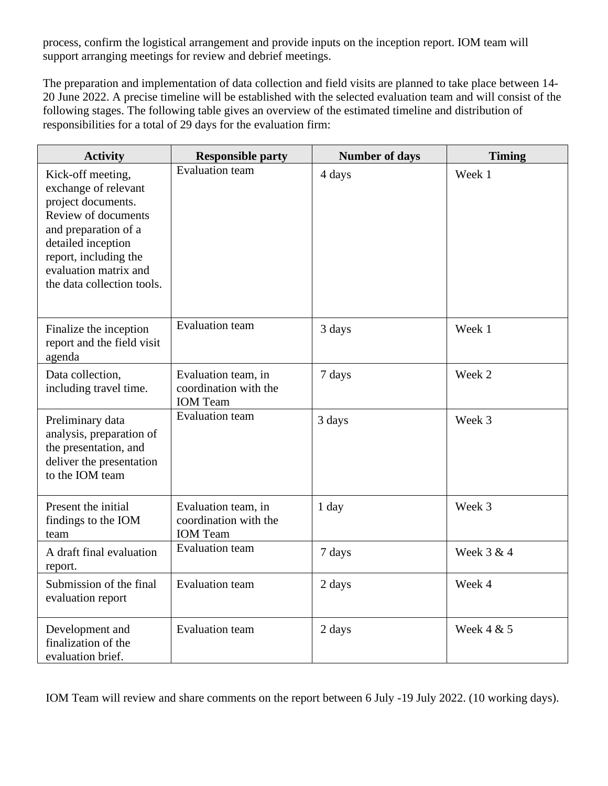process, confirm the logistical arrangement and provide inputs on the inception report. IOM team will support arranging meetings for review and debrief meetings.

The preparation and implementation of data collection and field visits are planned to take place between 14- 20 June 2022. A precise timeline will be established with the selected evaluation team and will consist of the following stages. The following table gives an overview of the estimated timeline and distribution of responsibilities for a total of 29 days for the evaluation firm:

| <b>Activity</b>                                                                                                                                                                                                      | <b>Responsible party</b>                                        | <b>Number of days</b> | <b>Timing</b> |
|----------------------------------------------------------------------------------------------------------------------------------------------------------------------------------------------------------------------|-----------------------------------------------------------------|-----------------------|---------------|
| Kick-off meeting,<br>exchange of relevant<br>project documents.<br>Review of documents<br>and preparation of a<br>detailed inception<br>report, including the<br>evaluation matrix and<br>the data collection tools. | <b>Evaluation team</b>                                          | 4 days                | Week 1        |
| Finalize the inception<br>report and the field visit<br>agenda                                                                                                                                                       | <b>Evaluation</b> team                                          | 3 days                | Week 1        |
| Data collection,<br>including travel time.                                                                                                                                                                           | Evaluation team, in<br>coordination with the<br><b>IOM</b> Team | 7 days                | Week 2        |
| Preliminary data<br>analysis, preparation of<br>the presentation, and<br>deliver the presentation<br>to the IOM team                                                                                                 | <b>Evaluation team</b>                                          | 3 days                | Week 3        |
| Present the initial<br>findings to the IOM<br>team                                                                                                                                                                   | Evaluation team, in<br>coordination with the<br><b>IOM</b> Team | 1 day                 | Week 3        |
| A draft final evaluation<br>report.                                                                                                                                                                                  | <b>Evaluation</b> team                                          | 7 days                | Week 3 & 4    |
| Submission of the final<br>evaluation report                                                                                                                                                                         | <b>Evaluation</b> team                                          | 2 days                | Week 4        |
| Development and<br>finalization of the<br>evaluation brief.                                                                                                                                                          | <b>Evaluation</b> team                                          | 2 days                | Week 4 & 5    |

IOM Team will review and share comments on the report between 6 July -19 July 2022. (10 working days).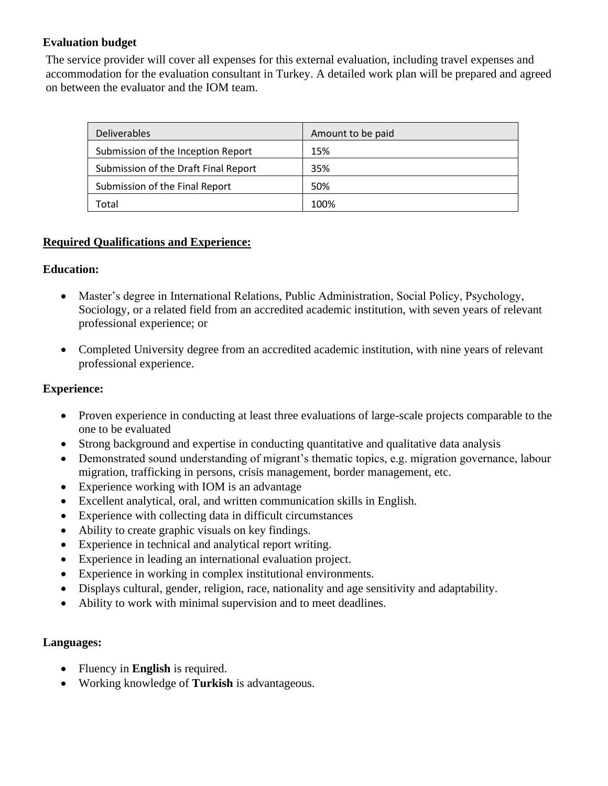# **Evaluation budget**

The service provider will cover all expenses for this external evaluation, including travel expenses and accommodation for the evaluation consultant in Turkey. A detailed work plan will be prepared and agreed on between the evaluator and the IOM team.

| <b>Deliverables</b>                  | Amount to be paid |
|--------------------------------------|-------------------|
| Submission of the Inception Report   | 15%               |
| Submission of the Draft Final Report | 35%               |
| Submission of the Final Report       | 50%               |
| Total                                | 100%              |

## **Required Qualifications and Experience:**

## **Education:**

- Master's degree in International Relations, Public Administration, Social Policy, Psychology, Sociology, or a related field from an accredited academic institution, with seven years of relevant professional experience; or
- Completed University degree from an accredited academic institution, with nine years of relevant professional experience.

# **Experience:**

- Proven experience in conducting at least three evaluations of large-scale projects comparable to the one to be evaluated
- Strong background and expertise in conducting quantitative and qualitative data analysis
- Demonstrated sound understanding of migrant's thematic topics, e.g. migration governance, labour migration, trafficking in persons, crisis management, border management, etc.
- Experience working with IOM is an advantage
- Excellent analytical, oral, and written communication skills in English.
- Experience with collecting data in difficult circumstances
- Ability to create graphic visuals on key findings.
- Experience in technical and analytical report writing.
- Experience in leading an international evaluation project.
- Experience in working in complex institutional environments.
- Displays cultural, gender, religion, race, nationality and age sensitivity and adaptability.
- Ability to work with minimal supervision and to meet deadlines.

## **Languages:**

- Fluency in **English** is required.
- Working knowledge of **Turkish** is advantageous.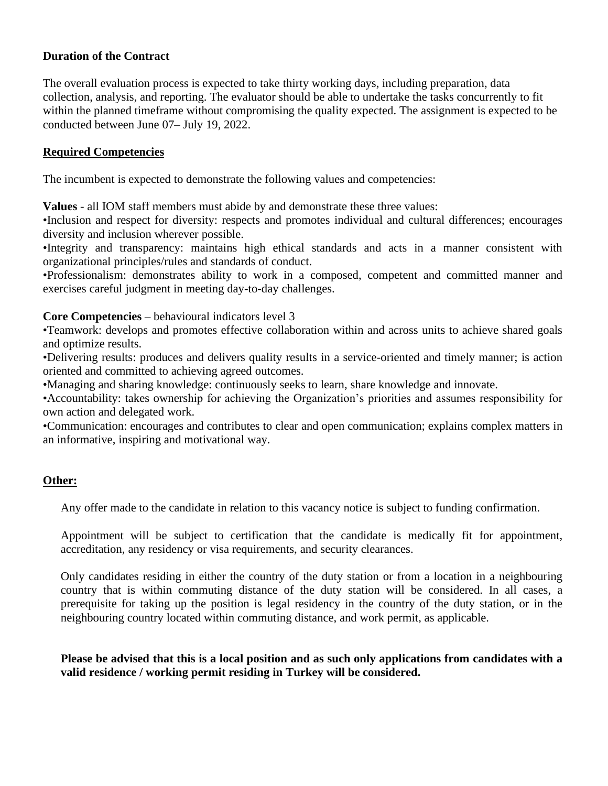#### **Duration of the Contract**

The overall evaluation process is expected to take thirty working days, including preparation, data collection, analysis, and reporting. The evaluator should be able to undertake the tasks concurrently to fit within the planned timeframe without compromising the quality expected. The assignment is expected to be conducted between June 07– July 19, 2022.

#### **Required Competencies**

The incumbent is expected to demonstrate the following values and competencies:

**Values** - all IOM staff members must abide by and demonstrate these three values:

•Inclusion and respect for diversity: respects and promotes individual and cultural differences; encourages diversity and inclusion wherever possible.

•Integrity and transparency: maintains high ethical standards and acts in a manner consistent with organizational principles/rules and standards of conduct.

•Professionalism: demonstrates ability to work in a composed, competent and committed manner and exercises careful judgment in meeting day-to-day challenges.

#### **Core Competencies** – behavioural indicators level 3

•Teamwork: develops and promotes effective collaboration within and across units to achieve shared goals and optimize results.

•Delivering results: produces and delivers quality results in a service-oriented and timely manner; is action oriented and committed to achieving agreed outcomes.

•Managing and sharing knowledge: continuously seeks to learn, share knowledge and innovate.

•Accountability: takes ownership for achieving the Organization's priorities and assumes responsibility for own action and delegated work.

•Communication: encourages and contributes to clear and open communication; explains complex matters in an informative, inspiring and motivational way.

## **Other:**

Any offer made to the candidate in relation to this vacancy notice is subject to funding confirmation.

Appointment will be subject to certification that the candidate is medically fit for appointment, accreditation, any residency or visa requirements, and security clearances.

Only candidates residing in either the country of the duty station or from a location in a neighbouring country that is within commuting distance of the duty station will be considered. In all cases, a prerequisite for taking up the position is legal residency in the country of the duty station, or in the neighbouring country located within commuting distance, and work permit, as applicable.

**Please be advised that this is a local position and as such only applications from candidates with a valid residence / working permit residing in Turkey will be considered.**